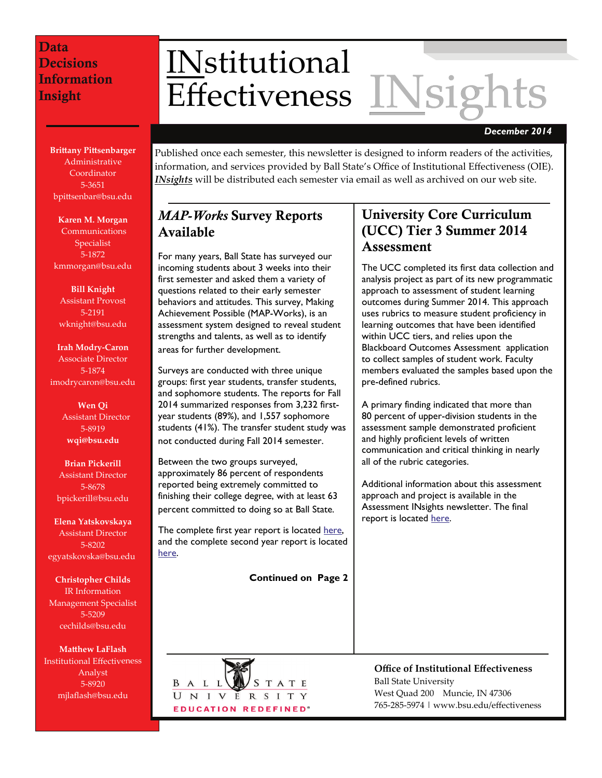**Brittany Pittsenbarger** Administrative Coordinator 5‐3651 bpittsenbar@bsu.edu

**Karen M. Morgan** Communications Specialist 5‐1872 kmmorgan@bsu.edu

**Bill Knight** Assistant Provost 5‐2191 wknight@bsu.edu

**Irah Modry‐Caron** Associate Director 5‐1874 imodrycaron@bsu.edu

> **Wen Qi** Assistant Director 5‐8919 **wqi@bsu.edu**

**Brian Pickerill** Assistant Director 5‐8678 bpickerill@bsu.edu

**Elena Yatskovskaya** Assistant Director 5‐8202 egyatskovska@bsu.edu

**Christopher Childs** IR Information Management Specialist 5‐5209 cechilds@bsu.edu

**Matthew LaFlash** Institutional Effectiveness Analyst 5‐8920 mjlaflash@bsu.edu

# <u>IN</u>stitutional<br>Effectiveness <u>INsights</u>

*December 2014* 

Published once each semester, this newsletter is designed to inform readers of the activities, information, and services provided by Ball State's Office of Institutional Effectiveness (OIE). *INsights* will be distributed each semester via email as well as archived on our web site.

# *MAP-Works* Survey Reports Available

For many years, Ball State has surveyed our incoming students about 3 weeks into their first semester and asked them a variety of questions related to their early semester behaviors and attitudes. This survey, Making Achievement Possible (MAP-Works), is an assessment system designed to reveal student strengths and talents, as well as to identify areas for further development.

Surveys are conducted with three unique groups: first year students, transfer students, and sophomore students. The reports for Fall 2014 summarized responses from 3,232 firstyear students (89%), and 1,557 sophomore students (41%). The transfer student study was not conducted during Fall 2014 semester.

Between the two groups surveyed, approximately 86 percent of respondents reported being extremely committed to finishing their college degree, with at least 63 percent committed to doing so at Ball State.

The complete first year report is located [here](http://cms.bsu.edu/-/media/WWW/DepartmentalContent/Effectiveness/pdfs/Survey/map/2014%20FirstYear%20Matrics%20Summary%20Report_Final.pdf), and the complete second year report is located [here](https://sitecorecms.bsu.edu/sitecore/shell/-/media/WWW/DepartmentalContent/Effectiveness/pdfs/Survey/map/2014%20SecondYear%20Summary%20Report_Final.pdf).

**Continued on Page 2**



# University Core Curriculum (UCC) Tier 3 Summer 2014 **Assessment**

The UCC completed its first data collection and analysis project as part of its new programmatic approach to assessment of student learning outcomes during Summer 2014. This approach uses rubrics to measure student proficiency in learning outcomes that have been identified within UCC tiers, and relies upon the Blackboard Outcomes Assessment application to collect samples of student work. Faculty members evaluated the samples based upon the pre-defined rubrics.

A primary finding indicated that more than 80 percent of upper-division students in the assessment sample demonstrated proficient and highly proficient levels of written communication and critical thinking in nearly all of the rubric categories.

Additional information about this assessment approach and project is available in the Assessment INsights newsletter. The final report is located [here](http://cms.bsu.edu/-/media/WWW/DepartmentalContent/Effectiveness/pdfs/Survey/Assessment/UCC%20Tier%203%20Summer%202014%20Written%20Communication%20and%20Critical%20Thinking%20Assessment%20Summary%20Report_Final.pdf).

**Office of Institutional Effectiveness** Ball State University West Quad 200 Muncie, IN 47306 765‐285‐5974 | www.bsu.edu/effectiveness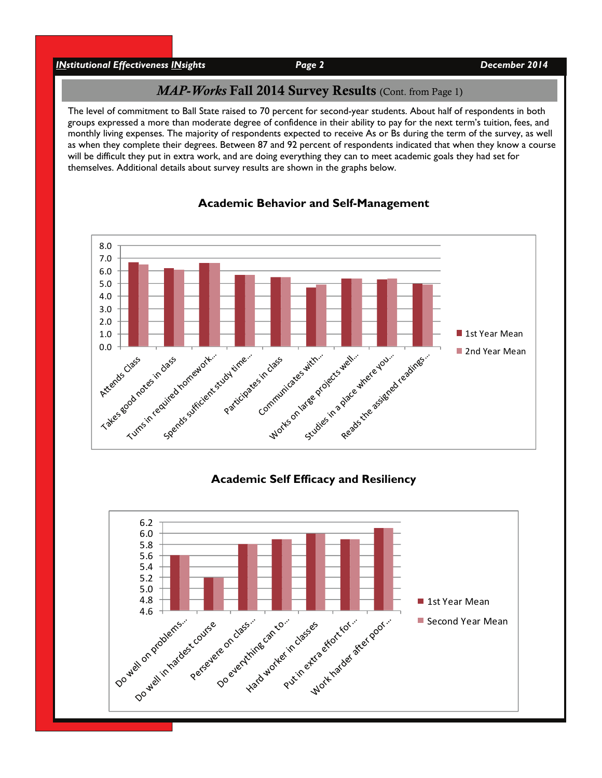*INstitutional Effectiveness INsights Page 2 December 2014* 

#### *MAP-Works Fall 2014 Survey Results (Cont. from Page 1)*

The level of commitment to Ball State raised to 70 percent for second-year students. About half of respondents in both groups expressed a more than moderate degree of confidence in their ability to pay for the next term's tuition, fees, and monthly living expenses. The majority of respondents expected to receive As or Bs during the term of the survey, as well as when they complete their degrees. Between 87 and 92 percent of respondents indicated that when they know a course will be difficult they put in extra work, and are doing everything they can to meet academic goals they had set for themselves. Additional details about survey results are shown in the graphs below.



#### **Academic Behavior and Self-Management**

#### **Academic Self Efficacy and Resiliency**

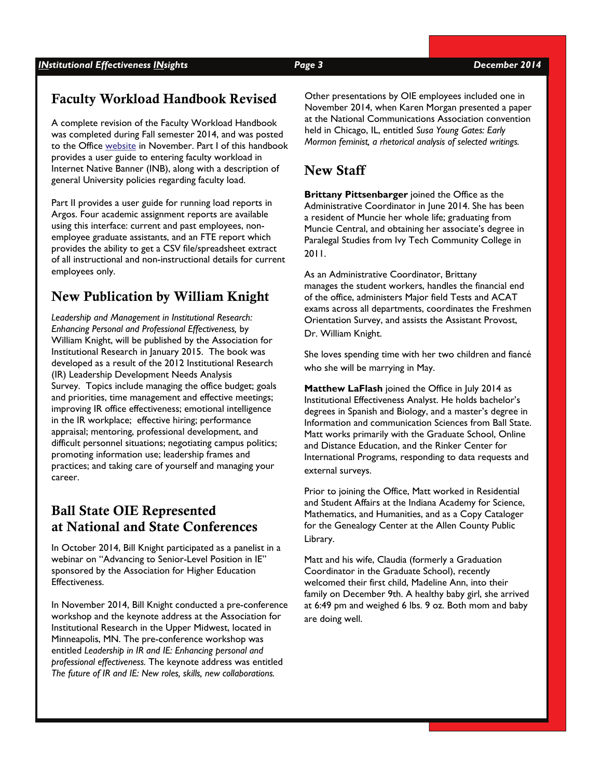# Faculty Workload Handbook Revised

A complete revision of the Faculty Workload Handbook was completed during Fall semester 2014, and was posted to the Office [website](http://cms.bsu.edu/-/media/WWW/DepartmentalContent/Effectiveness/pdfs/DeptReports/FacultyFTE/Faculty%20FTE%20Load%20Handbook%202014.pdf) in November. Part I of this handbook provides a user guide to entering faculty workload in Internet Native Banner (INB), along with a description of general University policies regarding faculty load.

Part II provides a user guide for running load reports in Argos. Four academic assignment reports are available using this interface: current and past employees, nonemployee graduate assistants, and an FTE report which provides the ability to get a CSV file/spreadsheet extract of all instructional and non-instructional details for current employees only.

# New Publication by William Knight

*Leadership and Management in Institutional Research: Enhancing Personal and Professional Effectiveness,* by William Knight, will be published by the Association for Institutional Research in January 2015. The book was developed as a result of the 2012 Institutional Research (IR) Leadership Development Needs Analysis Survey. Topics include managing the office budget; goals and priorities, time management and effective meetings; improving IR office effectiveness; emotional intelligence in the IR workplace; effective hiring; performance appraisal; mentoring, professional development, and difficult personnel situations; negotiating campus politics; promoting information use; leadership frames and practices; and taking care of yourself and managing your career.

# Ball State OIE Represented at National and State Conferences

In October 2014, Bill Knight participated as a panelist in a webinar on "Advancing to Senior-Level Position in IE" sponsored by the Association for Higher Education Effectiveness.

In November 2014, Bill Knight conducted a pre-conference workshop and the keynote address at the Association for Institutional Research in the Upper Midwest, located in Minneapolis, MN. The pre-conference workshop was entitled *Leadership in IR and IE: Enhancing personal and professional effectiveness.* The keynote address was entitled *The future of IR and IE: New roles, skills, new collaborations.* 

Other presentations by OIE employees included one in November 2014, when Karen Morgan presented a paper at the National Communications Association convention held in Chicago, IL, entitled *Susa Young Gates: Early Mormon feminist, a rhetorical analysis of selected writings.* 

## New Staff

**Brittany Pittsenbarger** joined the Office as the Administrative Coordinator in June 2014. She has been a resident of Muncie her whole life; graduating from Muncie Central, and obtaining her associate's degree in Paralegal Studies from Ivy Tech Community College in 2011.

As an Administrative Coordinator, Brittany manages the student workers, handles the financial end of the office, administers Major field Tests and ACAT exams across all departments, coordinates the Freshmen Orientation Survey, and assists the Assistant Provost, Dr. William Knight.

She loves spending time with her two children and fiancé who she will be marrying in May.

**Matthew LaFlash** joined the Office in July 2014 as Institutional Effectiveness Analyst. He holds bachelor's degrees in Spanish and Biology, and a master's degree in Information and communication Sciences from Ball State. Matt works primarily with the Graduate School, Online and Distance Education, and the Rinker Center for International Programs, responding to data requests and external surveys.

Prior to joining the Office, Matt worked in Residential and Student Affairs at the Indiana Academy for Science, Mathematics, and Humanities, and as a Copy Cataloger for the Genealogy Center at the Allen County Public Library.

Matt and his wife, Claudia (formerly a Graduation Coordinator in the Graduate School), recently welcomed their first child, Madeline Ann, into their family on December 9th. A healthy baby girl, she arrived at 6:49 pm and weighed 6 lbs. 9 oz. Both mom and baby are doing well.